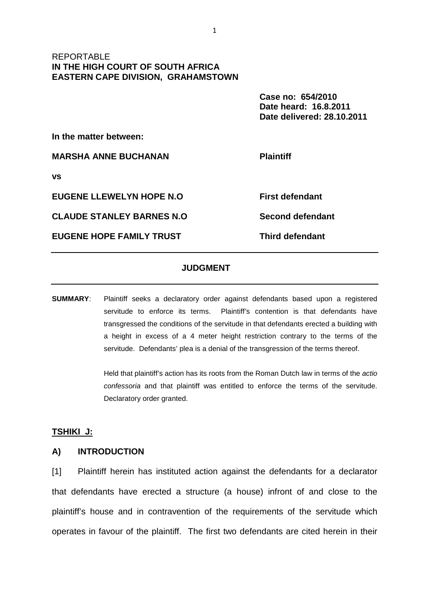# REPORTABLE **IN THE HIGH COURT OF SOUTH AFRICA EASTERN CAPE DIVISION, GRAHAMSTOWN**

 **Case no: 654/2010 Date heard: 16.8.2011 Date delivered: 28.10.2011** 

**In the matter between:** 

**MARSHA ANNE BUCHANAN Plaintiff** 

**vs** 

**EUGENE LLEWELYN HOPE N.O First defendant** 

**CLAUDE STANLEY BARNES N.O Second defendant** 

**EUGENE HOPE FAMILY TRUST THIRD THE THIRD THAT THE THIRD THE EUGENE HOPE FAMILY TRUST** 

# **JUDGMENT**

**SUMMARY**: Plaintiff seeks a declaratory order against defendants based upon a registered servitude to enforce its terms. Plaintiff's contention is that defendants have transgressed the conditions of the servitude in that defendants erected a building with a height in excess of a 4 meter height restriction contrary to the terms of the servitude. Defendants' plea is a denial of the transgression of the terms thereof.

> Held that plaintiff's action has its roots from the Roman Dutch law in terms of the actio confessoria and that plaintiff was entitled to enforce the terms of the servitude. Declaratory order granted.

# **TSHIKI J:**

### **A) INTRODUCTION**

[1] Plaintiff herein has instituted action against the defendants for a declarator that defendants have erected a structure (a house) infront of and close to the plaintiff's house and in contravention of the requirements of the servitude which operates in favour of the plaintiff. The first two defendants are cited herein in their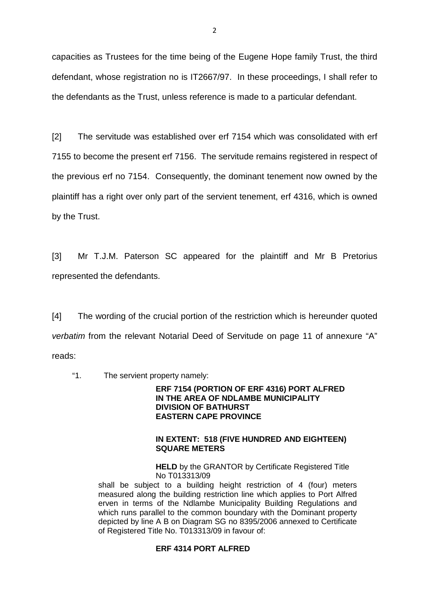capacities as Trustees for the time being of the Eugene Hope family Trust, the third defendant, whose registration no is IT2667/97. In these proceedings, I shall refer to the defendants as the Trust, unless reference is made to a particular defendant.

[2] The servitude was established over erf 7154 which was consolidated with erf 7155 to become the present erf 7156. The servitude remains registered in respect of the previous erf no 7154. Consequently, the dominant tenement now owned by the plaintiff has a right over only part of the servient tenement, erf 4316, which is owned by the Trust.

[3] Mr T.J.M. Paterson SC appeared for the plaintiff and Mr B Pretorius represented the defendants.

[4] The wording of the crucial portion of the restriction which is hereunder quoted verbatim from the relevant Notarial Deed of Servitude on page 11 of annexure "A" reads:

"1. The servient property namely:

### **ERF 7154 (PORTION OF ERF 4316) PORT ALFRED IN THE AREA OF NDLAMBE MUNICIPALITY DIVISION OF BATHURST EASTERN CAPE PROVINCE**

### **IN EXTENT: 518 (FIVE HUNDRED AND EIGHTEEN) SQUARE METERS**

**HELD** by the GRANTOR by Certificate Registered Title No T013313/09

shall be subject to a building height restriction of 4 (four) meters measured along the building restriction line which applies to Port Alfred erven in terms of the Ndlambe Municipality Building Regulations and which runs parallel to the common boundary with the Dominant property depicted by line A B on Diagram SG no 8395/2006 annexed to Certificate of Registered Title No. T013313/09 in favour of:

# **ERF 4314 PORT ALFRED**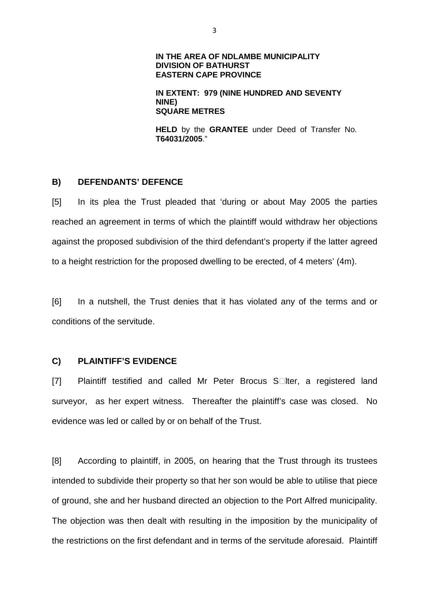### **IN THE AREA OF NDLAMBE MUNICIPALITY DIVISION OF BATHURST EASTERN CAPE PROVINCE**

### **IN EXTENT: 979 (NINE HUNDRED AND SEVENTY NINE) SQUARE METRES**

**HELD** by the **GRANTEE** under Deed of Transfer No. **T64031/2005**."

# **B) DEFENDANTS' DEFENCE**

[5] In its plea the Trust pleaded that 'during or about May 2005 the parties reached an agreement in terms of which the plaintiff would withdraw her objections against the proposed subdivision of the third defendant's property if the latter agreed to a height restriction for the proposed dwelling to be erected, of 4 meters' (4m).

[6] In a nutshell, the Trust denies that it has violated any of the terms and or conditions of the servitude.

### **C) PLAINTIFF'S EVIDENCE**

[7] Plaintiff testified and called Mr Peter Brocus S Iter, a registered land surveyor, as her expert witness. Thereafter the plaintiff's case was closed. No evidence was led or called by or on behalf of the Trust.

[8] According to plaintiff, in 2005, on hearing that the Trust through its trustees intended to subdivide their property so that her son would be able to utilise that piece of ground, she and her husband directed an objection to the Port Alfred municipality. The objection was then dealt with resulting in the imposition by the municipality of the restrictions on the first defendant and in terms of the servitude aforesaid. Plaintiff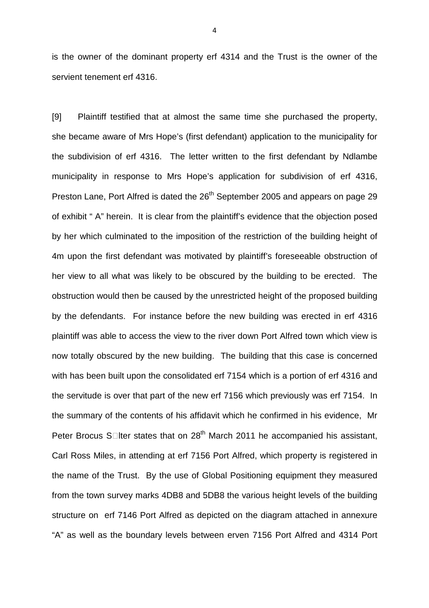is the owner of the dominant property erf 4314 and the Trust is the owner of the servient tenement erf 4316.

[9] Plaintiff testified that at almost the same time she purchased the property, she became aware of Mrs Hope's (first defendant) application to the municipality for the subdivision of erf 4316. The letter written to the first defendant by Ndlambe municipality in response to Mrs Hope's application for subdivision of erf 4316, Preston Lane, Port Alfred is dated the 26<sup>th</sup> September 2005 and appears on page 29 of exhibit " A" herein. It is clear from the plaintiff's evidence that the objection posed by her which culminated to the imposition of the restriction of the building height of 4m upon the first defendant was motivated by plaintiff's foreseeable obstruction of her view to all what was likely to be obscured by the building to be erected. The obstruction would then be caused by the unrestricted height of the proposed building by the defendants. For instance before the new building was erected in erf 4316 plaintiff was able to access the view to the river down Port Alfred town which view is now totally obscured by the new building. The building that this case is concerned with has been built upon the consolidated erf 7154 which is a portion of erf 4316 and the servitude is over that part of the new erf 7156 which previously was erf 7154. In the summary of the contents of his affidavit which he confirmed in his evidence, Mr Peter Brocus S Iter states that on 28<sup>th</sup> March 2011 he accompanied his assistant, Carl Ross Miles, in attending at erf 7156 Port Alfred, which property is registered in the name of the Trust. By the use of Global Positioning equipment they measured from the town survey marks 4DB8 and 5DB8 the various height levels of the building structure on erf 7146 Port Alfred as depicted on the diagram attached in annexure "A" as well as the boundary levels between erven 7156 Port Alfred and 4314 Port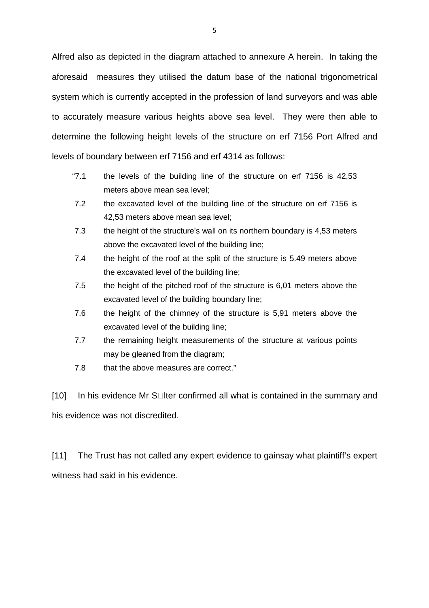Alfred also as depicted in the diagram attached to annexure A herein. In taking the aforesaid measures they utilised the datum base of the national trigonometrical system which is currently accepted in the profession of land surveyors and was able to accurately measure various heights above sea level. They were then able to determine the following height levels of the structure on erf 7156 Port Alfred and levels of boundary between erf 7156 and erf 4314 as follows:

- "7.1 the levels of the building line of the structure on erf 7156 is 42,53 meters above mean sea level;
- 7.2 the excavated level of the building line of the structure on erf 7156 is 42,53 meters above mean sea level;
- 7.3 the height of the structure's wall on its northern boundary is 4,53 meters above the excavated level of the building line;
- 7.4 the height of the roof at the split of the structure is 5.49 meters above the excavated level of the building line;
- 7.5 the height of the pitched roof of the structure is 6,01 meters above the excavated level of the building boundary line;
- 7.6 the height of the chimney of the structure is 5,91 meters above the excavated level of the building line;
- 7.7 the remaining height measurements of the structure at various points may be gleaned from the diagram;
- 7.8 that the above measures are correct."

[10] In his evidence Mr S Iter confirmed all what is contained in the summary and his evidence was not discredited.

[11] The Trust has not called any expert evidence to gainsay what plaintiff's expert witness had said in his evidence.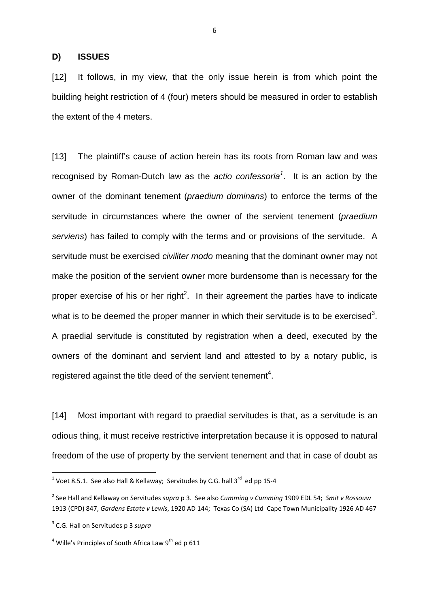#### **D) ISSUES**

[12] It follows, in my view, that the only issue herein is from which point the building height restriction of 4 (four) meters should be measured in order to establish the extent of the 4 meters.

[13] The plaintiff's cause of action herein has its roots from Roman law and was recognised by Roman-Dutch law as the *actio confessoria<sup>1</sup>*. It is an action by the owner of the dominant tenement (praedium dominans) to enforce the terms of the servitude in circumstances where the owner of the servient tenement (*praedium* serviens) has failed to comply with the terms and or provisions of the servitude. A servitude must be exercised *civiliter modo* meaning that the dominant owner may not make the position of the servient owner more burdensome than is necessary for the proper exercise of his or her right<sup>2</sup>. In their agreement the parties have to indicate what is to be deemed the proper manner in which their servitude is to be exercised<sup>3</sup>. A praedial servitude is constituted by registration when a deed, executed by the owners of the dominant and servient land and attested to by a notary public, is registered against the title deed of the servient tenement<sup>4</sup>.

[14] Most important with regard to praedial servitudes is that, as a servitude is an odious thing, it must receive restrictive interpretation because it is opposed to natural freedom of the use of property by the servient tenement and that in case of doubt as

 $\overline{a}$ 

<sup>&</sup>lt;sup>1</sup> Voet 8.5.1. See also Hall & Kellaway; Servitudes by C.G. hall 3<sup>rd</sup> ed pp 15-4

<sup>2</sup> See Hall and Kellaway on Servitudes *supra* p 3. See also *Cumming v Cumming* 1909 EDL 54; *Smit v Rossouw*  1913 (CPD) 847, *Gardens Estate v Lewis*, 1920 AD 144; Texas Co (SA) Ltd Cape Town Municipality 1926 AD 467

<sup>3</sup> C.G. Hall on Servitudes p 3 *supra*

<sup>&</sup>lt;sup>4</sup> Wille's Principles of South Africa Law 9<sup>th</sup> ed p 611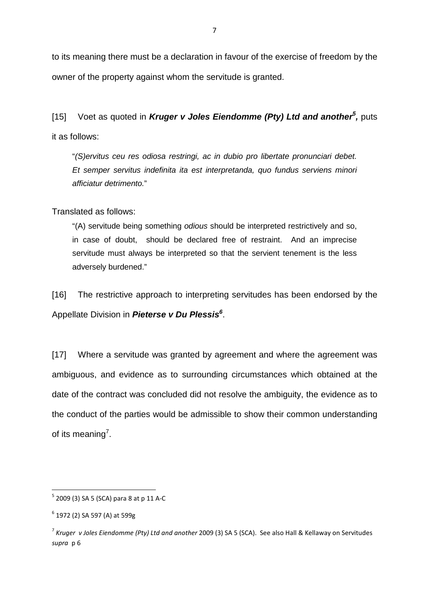to its meaning there must be a declaration in favour of the exercise of freedom by the owner of the property against whom the servitude is granted.

[15] Voet as quoted in **Kruger v Joles Eiendomme (Pty) Ltd and another<sup>5</sup> ,** puts it as follows:

"(S)ervitus ceu res odiosa restringi, ac in dubio pro libertate pronunciari debet. Et semper servitus indefinita ita est interpretanda, quo fundus serviens minori afficiatur detrimento."

Translated as follows:

"(A) servitude being something odious should be interpreted restrictively and so, in case of doubt, should be declared free of restraint. And an imprecise servitude must always be interpreted so that the servient tenement is the less adversely burdened."

[16] The restrictive approach to interpreting servitudes has been endorsed by the Appellate Division in **Pieterse v Du Plessis<sup>6</sup>** .

[17] Where a servitude was granted by agreement and where the agreement was ambiguous, and evidence as to surrounding circumstances which obtained at the date of the contract was concluded did not resolve the ambiguity, the evidence as to the conduct of the parties would be admissible to show their common understanding of its meaning<sup>7</sup>.

 $\overline{a}$ 

 $^5$  2009 (3) SA 5 (SCA) para 8 at p 11 A-C

<sup>&</sup>lt;sup>6</sup> 1972 (2) SA 597 (A) at 599g

<sup>7</sup> *Kruger v Joles Eiendomme (Pty) Ltd and another* 2009 (3) SA 5 (SCA). See also Hall & Kellaway on Servitudes *supra* p 6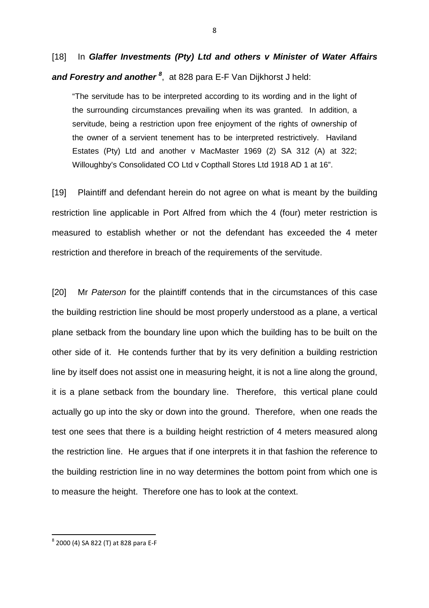[18] In **Glaffer Investments (Pty) Ltd and others v Minister of Water Affairs and Forestry and another <sup>8</sup>** , at 828 para E-F Van Dijkhorst J held:

"The servitude has to be interpreted according to its wording and in the light of the surrounding circumstances prevailing when its was granted. In addition, a servitude, being a restriction upon free enjoyment of the rights of ownership of the owner of a servient tenement has to be interpreted restrictively. Haviland Estates (Pty) Ltd and another v MacMaster 1969 (2) SA 312 (A) at 322; Willoughby's Consolidated CO Ltd v Copthall Stores Ltd 1918 AD 1 at 16".

[19] Plaintiff and defendant herein do not agree on what is meant by the building restriction line applicable in Port Alfred from which the 4 (four) meter restriction is measured to establish whether or not the defendant has exceeded the 4 meter restriction and therefore in breach of the requirements of the servitude.

[20] Mr Paterson for the plaintiff contends that in the circumstances of this case the building restriction line should be most properly understood as a plane, a vertical plane setback from the boundary line upon which the building has to be built on the other side of it. He contends further that by its very definition a building restriction line by itself does not assist one in measuring height, it is not a line along the ground, it is a plane setback from the boundary line. Therefore, this vertical plane could actually go up into the sky or down into the ground. Therefore, when one reads the test one sees that there is a building height restriction of 4 meters measured along the restriction line. He argues that if one interprets it in that fashion the reference to the building restriction line in no way determines the bottom point from which one is to measure the height. Therefore one has to look at the context.

<sup>8</sup> 2000 (4) SA 822 (T) at 828 para E-F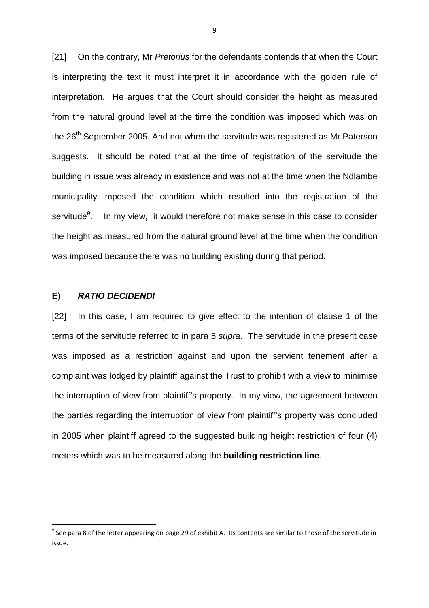[21] On the contrary, Mr Pretorius for the defendants contends that when the Court is interpreting the text it must interpret it in accordance with the golden rule of interpretation. He argues that the Court should consider the height as measured from the natural ground level at the time the condition was imposed which was on the  $26<sup>th</sup>$  September 2005. And not when the servitude was registered as Mr Paterson suggests. It should be noted that at the time of registration of the servitude the building in issue was already in existence and was not at the time when the Ndlambe municipality imposed the condition which resulted into the registration of the servitude<sup>9</sup>. . In my view, it would therefore not make sense in this case to consider the height as measured from the natural ground level at the time when the condition was imposed because there was no building existing during that period.

### **E) RATIO DECIDENDI**

 $\overline{\phantom{0}}$ 

[22] In this case, I am required to give effect to the intention of clause 1 of the terms of the servitude referred to in para 5 supra. The servitude in the present case was imposed as a restriction against and upon the servient tenement after a complaint was lodged by plaintiff against the Trust to prohibit with a view to minimise the interruption of view from plaintiff's property. In my view, the agreement between the parties regarding the interruption of view from plaintiff's property was concluded in 2005 when plaintiff agreed to the suggested building height restriction of four (4) meters which was to be measured along the **building restriction line**.

 $9$  See para 8 of the letter appearing on page 29 of exhibit A. Its contents are similar to those of the servitude in issue.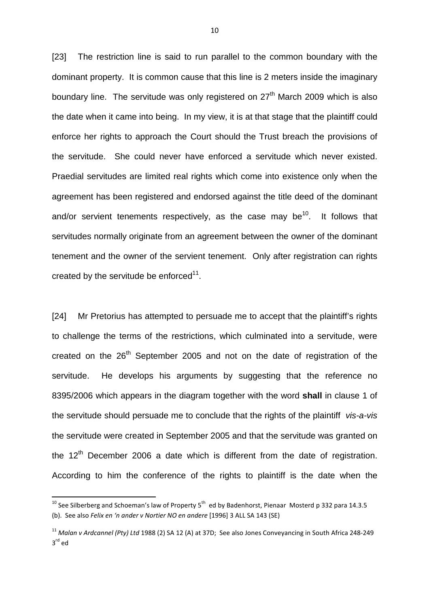[23] The restriction line is said to run parallel to the common boundary with the dominant property. It is common cause that this line is 2 meters inside the imaginary boundary line. The servitude was only registered on  $27<sup>th</sup>$  March 2009 which is also the date when it came into being. In my view, it is at that stage that the plaintiff could enforce her rights to approach the Court should the Trust breach the provisions of the servitude. She could never have enforced a servitude which never existed. Praedial servitudes are limited real rights which come into existence only when the agreement has been registered and endorsed against the title deed of the dominant and/or servient tenements respectively, as the case may be<sup>10</sup>. It follows that servitudes normally originate from an agreement between the owner of the dominant tenement and the owner of the servient tenement. Only after registration can rights created by the servitude be enforced $11$ .

[24] Mr Pretorius has attempted to persuade me to accept that the plaintiff's rights to challenge the terms of the restrictions, which culminated into a servitude, were created on the  $26<sup>th</sup>$  September 2005 and not on the date of registration of the servitude. He develops his arguments by suggesting that the reference no 8395/2006 which appears in the diagram together with the word **shall** in clause 1 of the servitude should persuade me to conclude that the rights of the plaintiff vis-a-vis the servitude were created in September 2005 and that the servitude was granted on the  $12<sup>th</sup>$  December 2006 a date which is different from the date of registration. According to him the conference of the rights to plaintiff is the date when the

 $10$  See Silberberg and Schoeman's law of Property 5<sup>th</sup> ed by Badenhorst, Pienaar Mosterd p 332 para 14.3.5 (b). See also *Felix en 'n ander v Nortier NO en andere* [1996] 3 ALL SA 143 (SE)

<sup>11</sup> *Malan v Ardcannel (Pty) Ltd* 1988 (2) SA 12 (A) at 37D; See also Jones Conveyancing in South Africa 248-249 3 rd ed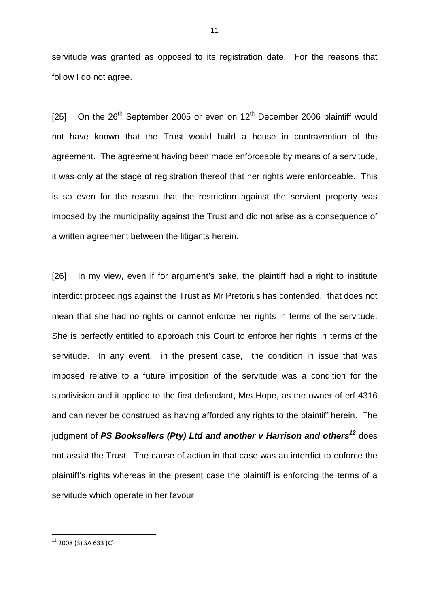servitude was granted as opposed to its registration date. For the reasons that follow I do not agree.

[25] On the  $26<sup>th</sup>$  September 2005 or even on  $12<sup>th</sup>$  December 2006 plaintiff would not have known that the Trust would build a house in contravention of the agreement. The agreement having been made enforceable by means of a servitude, it was only at the stage of registration thereof that her rights were enforceable. This is so even for the reason that the restriction against the servient property was imposed by the municipality against the Trust and did not arise as a consequence of a written agreement between the litigants herein.

[26] In my view, even if for argument's sake, the plaintiff had a right to institute interdict proceedings against the Trust as Mr Pretorius has contended, that does not mean that she had no rights or cannot enforce her rights in terms of the servitude. She is perfectly entitled to approach this Court to enforce her rights in terms of the servitude. In any event, in the present case, the condition in issue that was imposed relative to a future imposition of the servitude was a condition for the subdivision and it applied to the first defendant, Mrs Hope, as the owner of erf 4316 and can never be construed as having afforded any rights to the plaintiff herein. The judgment of **PS Booksellers (Pty) Ltd and another v Harrison and others<sup>12</sup>** does not assist the Trust. The cause of action in that case was an interdict to enforce the plaintiff's rights whereas in the present case the plaintiff is enforcing the terms of a servitude which operate in her favour.

 $12$  2008 (3) SA 633 (C)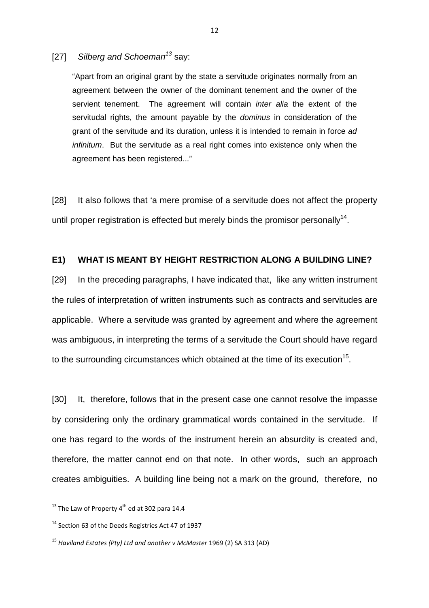[27] Silberg and Schoeman<sup>13</sup> say:

"Apart from an original grant by the state a servitude originates normally from an agreement between the owner of the dominant tenement and the owner of the servient tenement. The agreement will contain inter alia the extent of the servitudal rights, the amount payable by the *dominus* in consideration of the grant of the servitude and its duration, unless it is intended to remain in force ad infinitum. But the servitude as a real right comes into existence only when the agreement has been registered..."

[28] It also follows that 'a mere promise of a servitude does not affect the property until proper registration is effected but merely binds the promisor personally<sup>14</sup>.

# **E1) WHAT IS MEANT BY HEIGHT RESTRICTION ALONG A BUILDING LINE?**

[29] In the preceding paragraphs, I have indicated that, like any written instrument the rules of interpretation of written instruments such as contracts and servitudes are applicable. Where a servitude was granted by agreement and where the agreement was ambiguous, in interpreting the terms of a servitude the Court should have regard to the surrounding circumstances which obtained at the time of its execution<sup>15</sup>.

[30] It, therefore, follows that in the present case one cannot resolve the impasse by considering only the ordinary grammatical words contained in the servitude. If one has regard to the words of the instrument herein an absurdity is created and, therefore, the matter cannot end on that note. In other words, such an approach creates ambiguities. A building line being not a mark on the ground, therefore, no

 $13$  The Law of Property 4<sup>th</sup> ed at 302 para 14.4

<sup>&</sup>lt;sup>14</sup> Section 63 of the Deeds Registries Act 47 of 1937

<sup>15</sup> *Haviland Estates (Pty) Ltd and another v McMaster* 1969 (2) SA 313 (AD)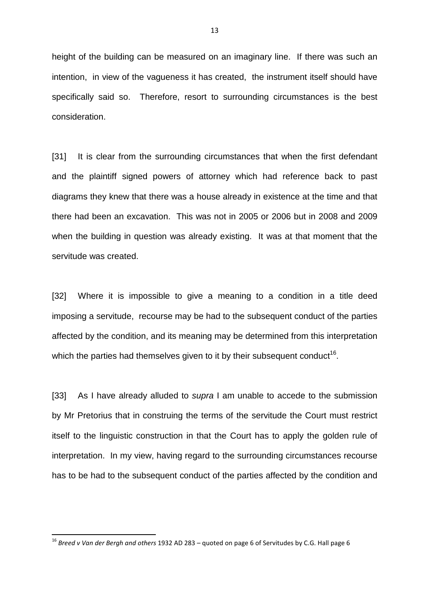height of the building can be measured on an imaginary line. If there was such an intention, in view of the vagueness it has created, the instrument itself should have specifically said so. Therefore, resort to surrounding circumstances is the best consideration.

[31] It is clear from the surrounding circumstances that when the first defendant and the plaintiff signed powers of attorney which had reference back to past diagrams they knew that there was a house already in existence at the time and that there had been an excavation. This was not in 2005 or 2006 but in 2008 and 2009 when the building in question was already existing. It was at that moment that the servitude was created.

[32] Where it is impossible to give a meaning to a condition in a title deed imposing a servitude, recourse may be had to the subsequent conduct of the parties affected by the condition, and its meaning may be determined from this interpretation which the parties had themselves given to it by their subsequent conduct<sup>16</sup>.

[33] As I have already alluded to *supra* I am unable to accede to the submission by Mr Pretorius that in construing the terms of the servitude the Court must restrict itself to the linguistic construction in that the Court has to apply the golden rule of interpretation. In my view, having regard to the surrounding circumstances recourse has to be had to the subsequent conduct of the parties affected by the condition and

<sup>16</sup> *Breed v Van der Bergh and others* 1932 AD 283 – quoted on page 6 of Servitudes by C.G. Hall page 6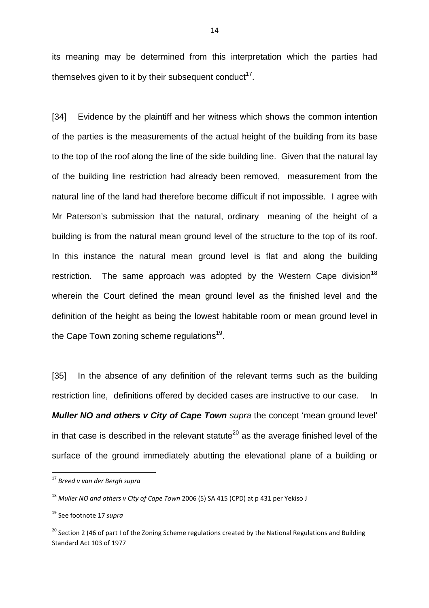its meaning may be determined from this interpretation which the parties had themselves given to it by their subsequent conduct $^{17}$ .

[34] Evidence by the plaintiff and her witness which shows the common intention of the parties is the measurements of the actual height of the building from its base to the top of the roof along the line of the side building line. Given that the natural lay of the building line restriction had already been removed, measurement from the natural line of the land had therefore become difficult if not impossible. I agree with Mr Paterson's submission that the natural, ordinary meaning of the height of a building is from the natural mean ground level of the structure to the top of its roof. In this instance the natural mean ground level is flat and along the building restriction. The same approach was adopted by the Western Cape division<sup>18</sup> wherein the Court defined the mean ground level as the finished level and the definition of the height as being the lowest habitable room or mean ground level in the Cape Town zoning scheme regulations<sup>19</sup>.

[35] In the absence of any definition of the relevant terms such as the building restriction line, definitions offered by decided cases are instructive to our case. In **Muller NO and others v City of Cape Town** supra the concept 'mean ground level' in that case is described in the relevant statute<sup>20</sup> as the average finished level of the surface of the ground immediately abutting the elevational plane of a building or

 $\overline{a}$ 

<sup>17</sup> *Breed v van der Bergh supra* 

<sup>18</sup> *Muller NO and others v City of Cape Town* 2006 (5) SA 415 (CPD) at p 431 per Yekiso J

<sup>19</sup> See footnote 17 *supra* 

<sup>&</sup>lt;sup>20</sup> Section 2 (46 of part I of the Zoning Scheme regulations created by the National Regulations and Building Standard Act 103 of 1977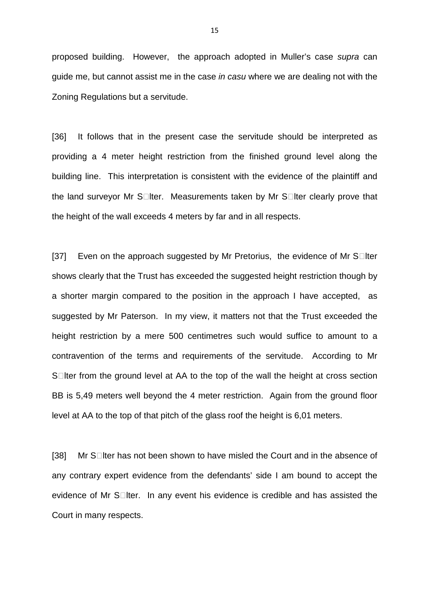proposed building. However, the approach adopted in Muller's case supra can guide me, but cannot assist me in the case in casu where we are dealing not with the Zoning Regulations but a servitude.

[36] It follows that in the present case the servitude should be interpreted as providing a 4 meter height restriction from the finished ground level along the building line. This interpretation is consistent with the evidence of the plaintiff and the land surveyor Mr S Iter. Measurements taken by Mr S Iter clearly prove that the height of the wall exceeds 4 meters by far and in all respects.

[37] Even on the approach suggested by Mr Pretorius, the evidence of Mr S Iter shows clearly that the Trust has exceeded the suggested height restriction though by a shorter margin compared to the position in the approach I have accepted, as suggested by Mr Paterson. In my view, it matters not that the Trust exceeded the height restriction by a mere 500 centimetres such would suffice to amount to a contravention of the terms and requirements of the servitude. According to Mr S Iter from the ground level at AA to the top of the wall the height at cross section BB is 5,49 meters well beyond the 4 meter restriction. Again from the ground floor level at AA to the top of that pitch of the glass roof the height is 6,01 meters.

[38] Mr S Iter has not been shown to have misled the Court and in the absence of any contrary expert evidence from the defendants' side I am bound to accept the evidence of Mr S Iter. In any event his evidence is credible and has assisted the Court in many respects.